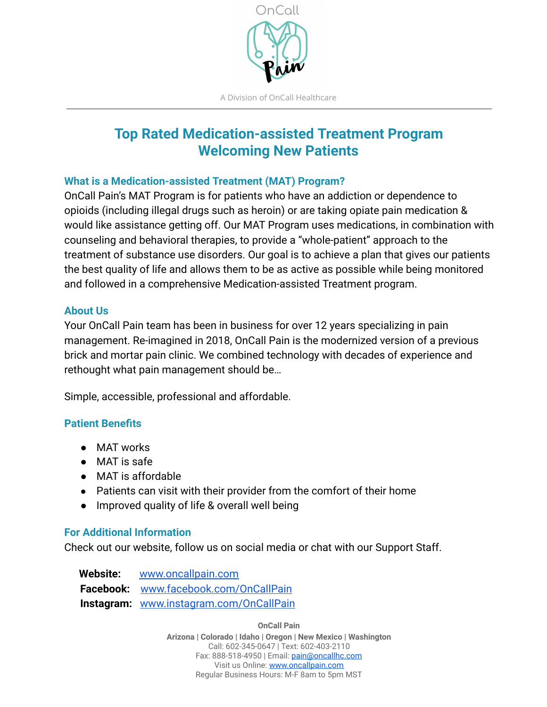

# **Top Rated Medication-assisted Treatment Program Welcoming New Patients**

#### **What is a Medication-assisted Treatment (MAT) Program?**

OnCall Pain's MAT Program is for patients who have an addiction or dependence to opioids (including illegal drugs such as heroin) or are taking opiate pain medication & would like assistance getting off. Our MAT Program uses medications, in combination with counseling and behavioral therapies, to provide a "whole-patient" approach to the treatment of substance use disorders. Our goal is to achieve a plan that gives our patients the best quality of life and allows them to be as active as possible while being monitored and followed in a comprehensive Medication-assisted Treatment program.

#### **About Us**

Your OnCall Pain team has been in business for over 12 years specializing in pain management. Re-imagined in 2018, OnCall Pain is the modernized version of a previous brick and mortar pain clinic. We combined technology with decades of experience and rethought what pain management should be…

Simple, accessible, professional and affordable.

#### **Patient Benefits**

- MAT works
- MAT is safe
- MAT is affordable
- Patients can visit with their provider from the comfort of their home
- Improved quality of life & overall well being

#### **For Additional Information**

Check out our website, follow us on social media or chat with our Support Staff.

 **Website:** [www.oncallpain.com](http://www.oncallpain.com/) **Facebook:** [www.facebook.com/OnCallPain](http://www.facebook.com/OnCallPain) **Instagram:** [www.instagram.com/OnCallPain](https://www.instagram.com/oncallpain/) 

**OnCall Pain** 

**Arizona | Colorado | Idaho | Oregon | New Mexico | Washington**  Call: 602-345-0647 | Text: 602-403-2110 Fax: 888-518-4950 | Email: [pain@oncallhc.com](mailto:pain@oncallhc.com)  Visit us Online: [www.oncallpain.com](https://www.oncallpain.com/)  Regular Business Hours: M-F 8am to 5pm MST